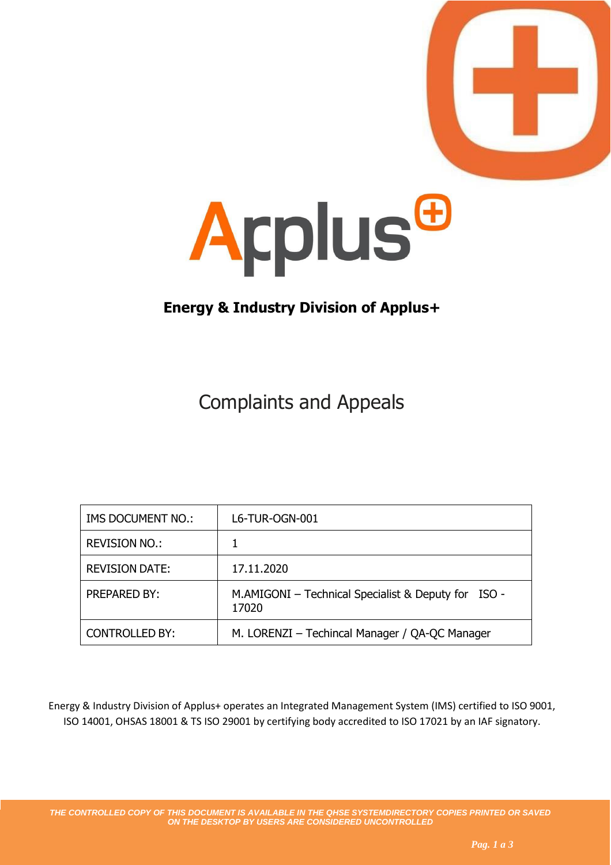



## **Energy & Industry Division of Applus+**

## Complaints and Appeals

| IMS DOCUMENT NO.:     | L6-TUR-OGN-001                                               |
|-----------------------|--------------------------------------------------------------|
| <b>REVISION NO.:</b>  |                                                              |
| <b>REVISION DATE:</b> | 17.11.2020                                                   |
| <b>PREPARED BY:</b>   | M.AMIGONI - Technical Specialist & Deputy for ISO -<br>17020 |
| <b>CONTROLLED BY:</b> | M. LORENZI - Techincal Manager / QA-QC Manager               |

Energy & Industry Division of Applus+ operates an Integrated Management System (IMS) certified to ISO 9001, ISO 14001, OHSAS 18001 & TS ISO 29001 by certifying body accredited to ISO 17021 by an IAF signatory.

*THE CONTROLLED COPY OF THIS DOCUMENT IS AVAILABLE IN THE QHSE SYSTEMDIRECTORY COPIES PRINTED OR SAVED ON THE DESKTOP BY USERS ARE CONSIDERED UNCONTROLLED*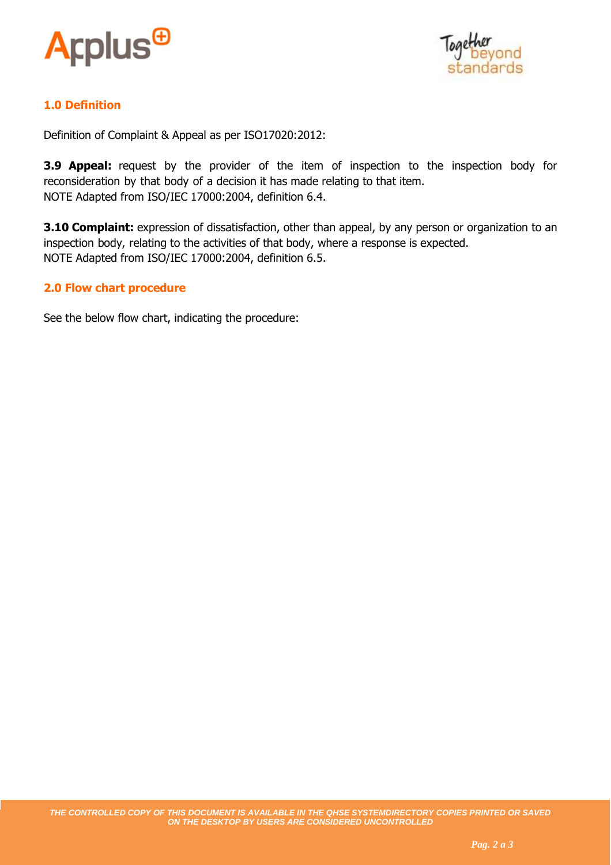



## **1.0 Definition**

Definition of Complaint & Appeal as per ISO17020:2012:

**3.9 Appeal:** request by the provider of the item of inspection to the inspection body for reconsideration by that body of a decision it has made relating to that item. NOTE Adapted from ISO/IEC 17000:2004, definition 6.4.

**3.10 Complaint:** expression of dissatisfaction, other than appeal, by any person or organization to an inspection body, relating to the activities of that body, where a response is expected. NOTE Adapted from ISO/IEC 17000:2004, definition 6.5.

## **2.0 Flow chart procedure**

See the below flow chart, indicating the procedure: